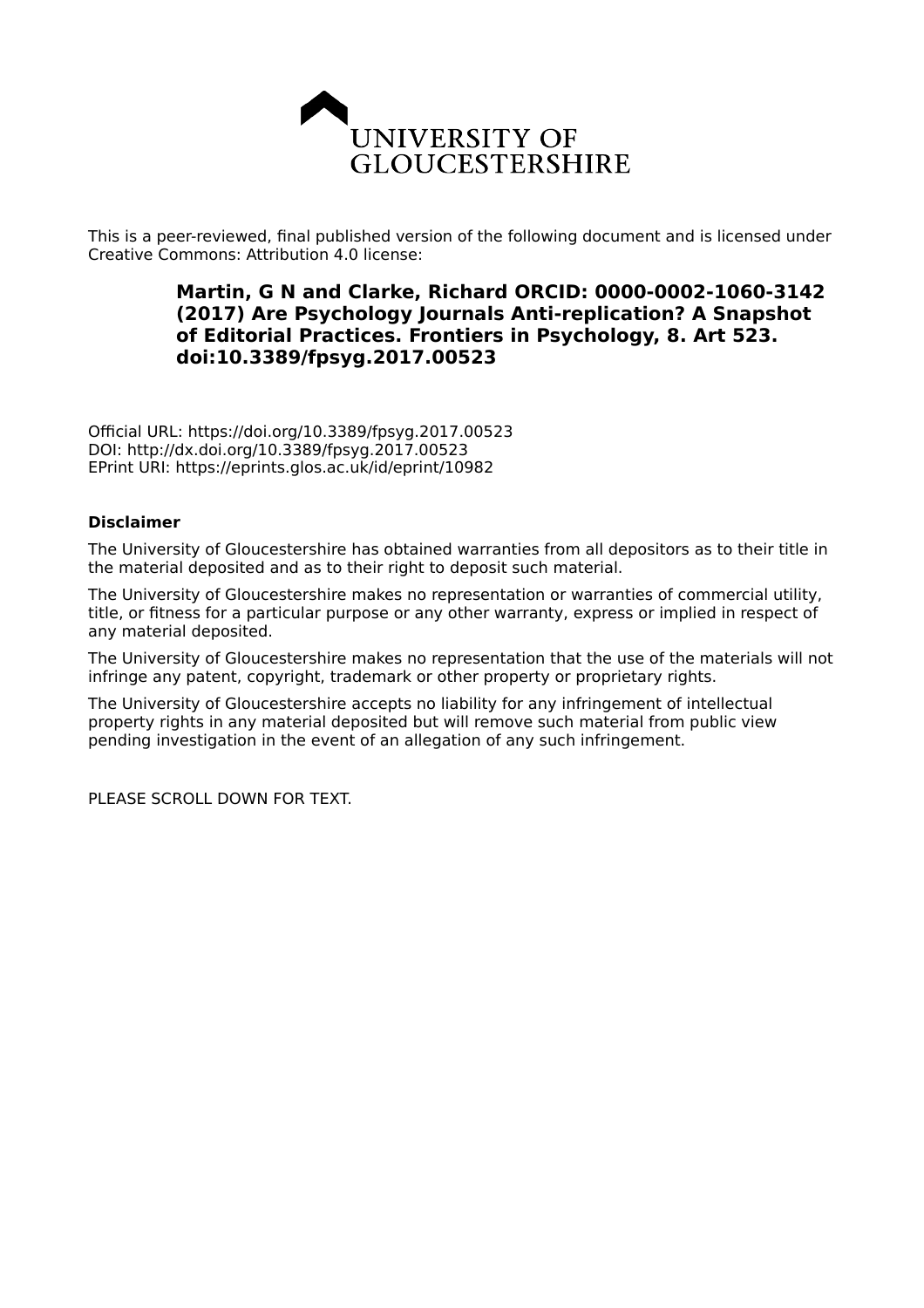

This is a peer-reviewed, final published version of the following document and is licensed under Creative Commons: Attribution 4.0 license:

## **Martin, G N and Clarke, Richard ORCID: 0000-0002-1060-3142 (2017) Are Psychology Journals Anti-replication? A Snapshot of Editorial Practices. Frontiers in Psychology, 8. Art 523. doi:10.3389/fpsyg.2017.00523**

Official URL: https://doi.org/10.3389/fpsyg.2017.00523 DOI: http://dx.doi.org/10.3389/fpsyg.2017.00523 EPrint URI: https://eprints.glos.ac.uk/id/eprint/10982

## **Disclaimer**

The University of Gloucestershire has obtained warranties from all depositors as to their title in the material deposited and as to their right to deposit such material.

The University of Gloucestershire makes no representation or warranties of commercial utility, title, or fitness for a particular purpose or any other warranty, express or implied in respect of any material deposited.

The University of Gloucestershire makes no representation that the use of the materials will not infringe any patent, copyright, trademark or other property or proprietary rights.

The University of Gloucestershire accepts no liability for any infringement of intellectual property rights in any material deposited but will remove such material from public view pending investigation in the event of an allegation of any such infringement.

PLEASE SCROLL DOWN FOR TEXT.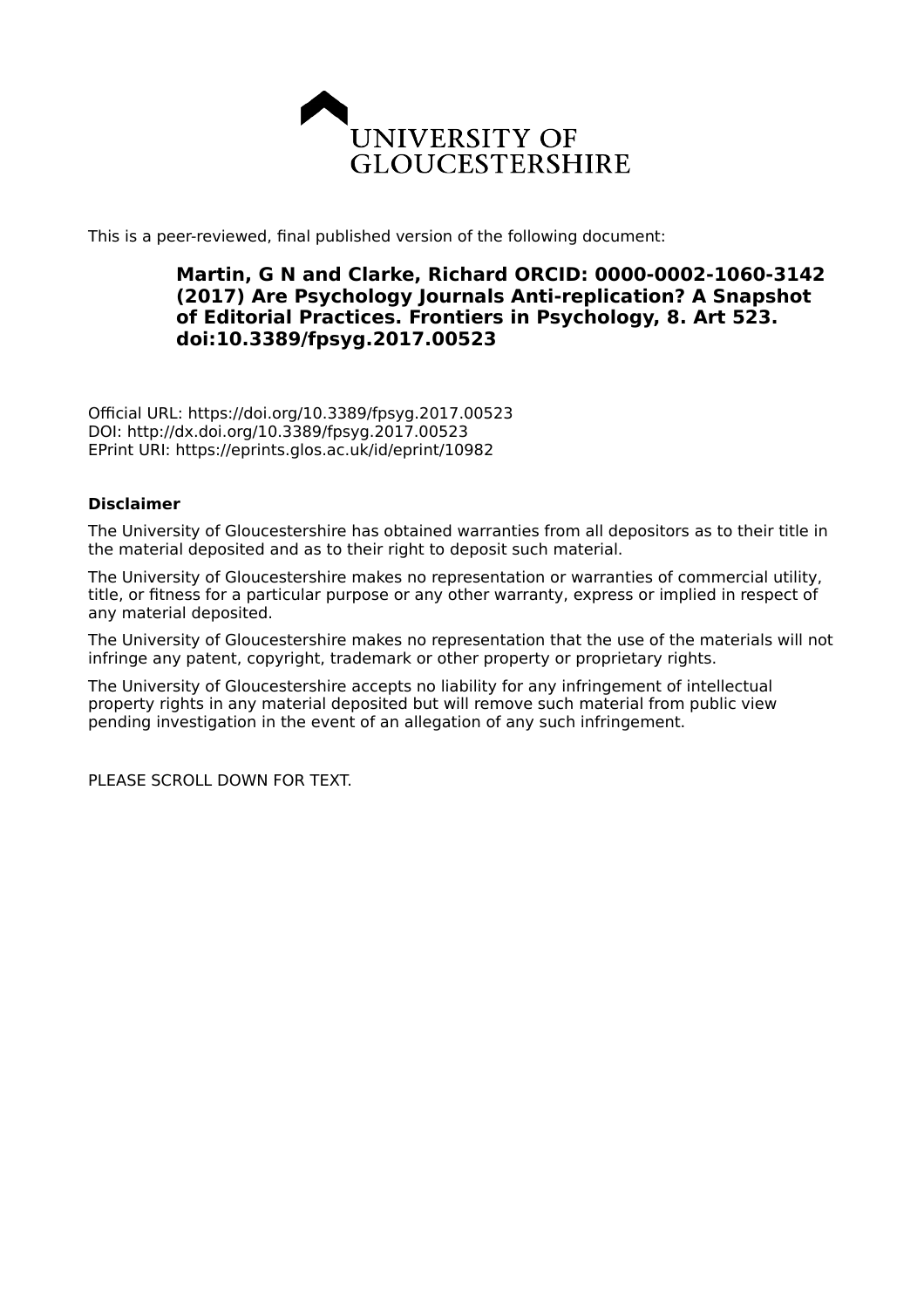

This is a peer-reviewed, final published version of the following document:

## **Martin, G N and Clarke, Richard ORCID: 0000-0002-1060-3142 (2017) Are Psychology Journals Anti-replication? A Snapshot of Editorial Practices. Frontiers in Psychology, 8. Art 523. doi:10.3389/fpsyg.2017.00523**

Official URL: https://doi.org/10.3389/fpsyg.2017.00523 DOI: http://dx.doi.org/10.3389/fpsyg.2017.00523 EPrint URI: https://eprints.glos.ac.uk/id/eprint/10982

## **Disclaimer**

The University of Gloucestershire has obtained warranties from all depositors as to their title in the material deposited and as to their right to deposit such material.

The University of Gloucestershire makes no representation or warranties of commercial utility, title, or fitness for a particular purpose or any other warranty, express or implied in respect of any material deposited.

The University of Gloucestershire makes no representation that the use of the materials will not infringe any patent, copyright, trademark or other property or proprietary rights.

The University of Gloucestershire accepts no liability for any infringement of intellectual property rights in any material deposited but will remove such material from public view pending investigation in the event of an allegation of any such infringement.

PLEASE SCROLL DOWN FOR TEXT.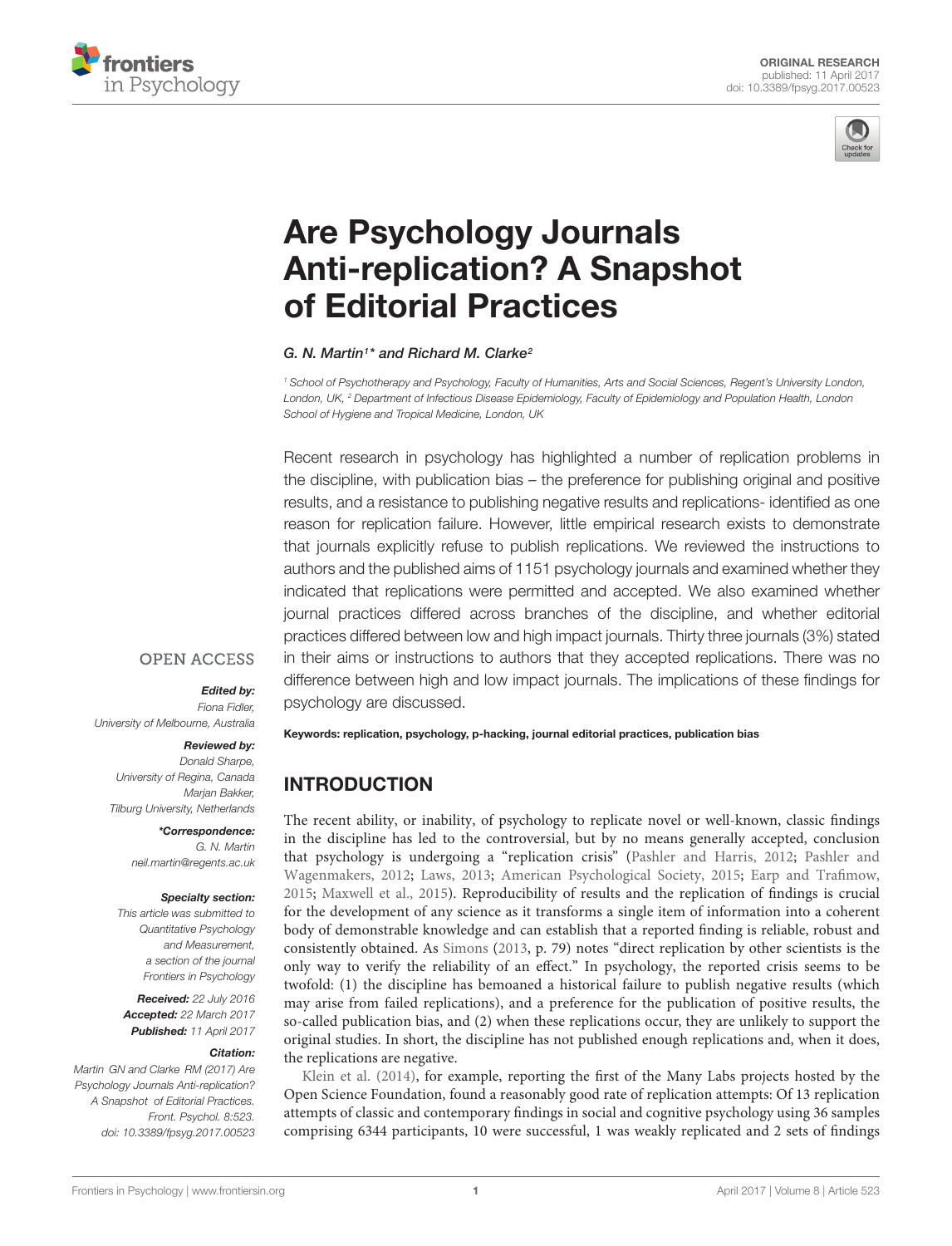



# Are Psychology Journals [Anti-replication? A Snapshot](http://journal.frontiersin.org/article/10.3389/fpsyg.2017.00523/abstract) of Editorial Practices

#### [G. N. Martin](http://loop.frontiersin.org/people/118506/overview)<sup>1</sup> \* and [Richard M. Clarke](http://loop.frontiersin.org/people/375465/overview)<sup>2</sup>

<sup>1</sup> School of Psychotherapy and Psychology, Faculty of Humanities, Arts and Social Sciences, Regent's University London, London, UK, <sup>2</sup> Department of Infectious Disease Epidemiology, Faculty of Epidemiology and Population Health, London School of Hygiene and Tropical Medicine, London, UK

Recent research in psychology has highlighted a number of replication problems in the discipline, with publication bias – the preference for publishing original and positive results, and a resistance to publishing negative results and replications- identified as one reason for replication failure. However, little empirical research exists to demonstrate that journals explicitly refuse to publish replications. We reviewed the instructions to authors and the published aims of 1151 psychology journals and examined whether they indicated that replications were permitted and accepted. We also examined whether journal practices differed across branches of the discipline, and whether editorial practices differed between low and high impact journals. Thirty three journals (3%) stated in their aims or instructions to authors that they accepted replications. There was no difference between high and low impact journals. The implications of these findings for psychology are discussed.

#### **OPEN ACCESS**

#### Edited by:

Fiona Fidler, University of Melbourne, Australia

#### Reviewed by:

Donald Sharpe University of Regina, Canada Marjan Bakker, Tilburg University, Netherlands

> \*Correspondence: G. N. Martin neil.martin@regents.ac.uk

#### Specialty section:

This article was submitted to Quantitative Psychology and Measurement, a section of the journal Frontiers in Psychology

Received: 22 July 2016 Accepted: 22 March 2017 Published: 11 April 2017

#### Citation:

Martin GN and Clarke RM (2017) Are Psychology Journals Anti-replication? A Snapshot of Editorial Practices. Front. Psychol. 8:523. doi: [10.3389/fpsyg.2017.00523](https://doi.org/10.3389/fpsyg.2017.00523) Keywords: replication, psychology, p-hacking, journal editorial practices, publication bias

## INTRODUCTION

The recent ability, or inability, of psychology to replicate novel or well-known, classic findings in the discipline has led to the controversial, but by no means generally accepted, conclusion that psychology is undergoing a "replication crisis" [\(Pashler and Harris,](#page-6-0) [2012;](#page-6-0) [Pashler and](#page-6-1) [Wagenmakers,](#page-6-1) [2012;](#page-6-1) [Laws,](#page-6-2) [2013;](#page-6-2) [American Psychological Society,](#page-6-3) [2015;](#page-6-3) [Earp and Trafimow,](#page-6-4) [2015;](#page-6-4) [Maxwell et al.,](#page-6-5) [2015\)](#page-6-5). Reproducibility of results and the replication of findings is crucial for the development of any science as it transforms a single item of information into a coherent body of demonstrable knowledge and can establish that a reported finding is reliable, robust and consistently obtained. As [Simons](#page-7-0) [\(2013,](#page-7-0) p. 79) notes "direct replication by other scientists is the only way to verify the reliability of an effect." In psychology, the reported crisis seems to be twofold: (1) the discipline has bemoaned a historical failure to publish negative results (which may arise from failed replications), and a preference for the publication of positive results, the so-called publication bias, and (2) when these replications occur, they are unlikely to support the original studies. In short, the discipline has not published enough replications and, when it does, the replications are negative.

[Klein et al.](#page-6-6) [\(2014\)](#page-6-6), for example, reporting the first of the Many Labs projects hosted by the Open Science Foundation, found a reasonably good rate of replication attempts: Of 13 replication attempts of classic and contemporary findings in social and cognitive psychology using 36 samples comprising 6344 participants, 10 were successful, 1 was weakly replicated and 2 sets of findings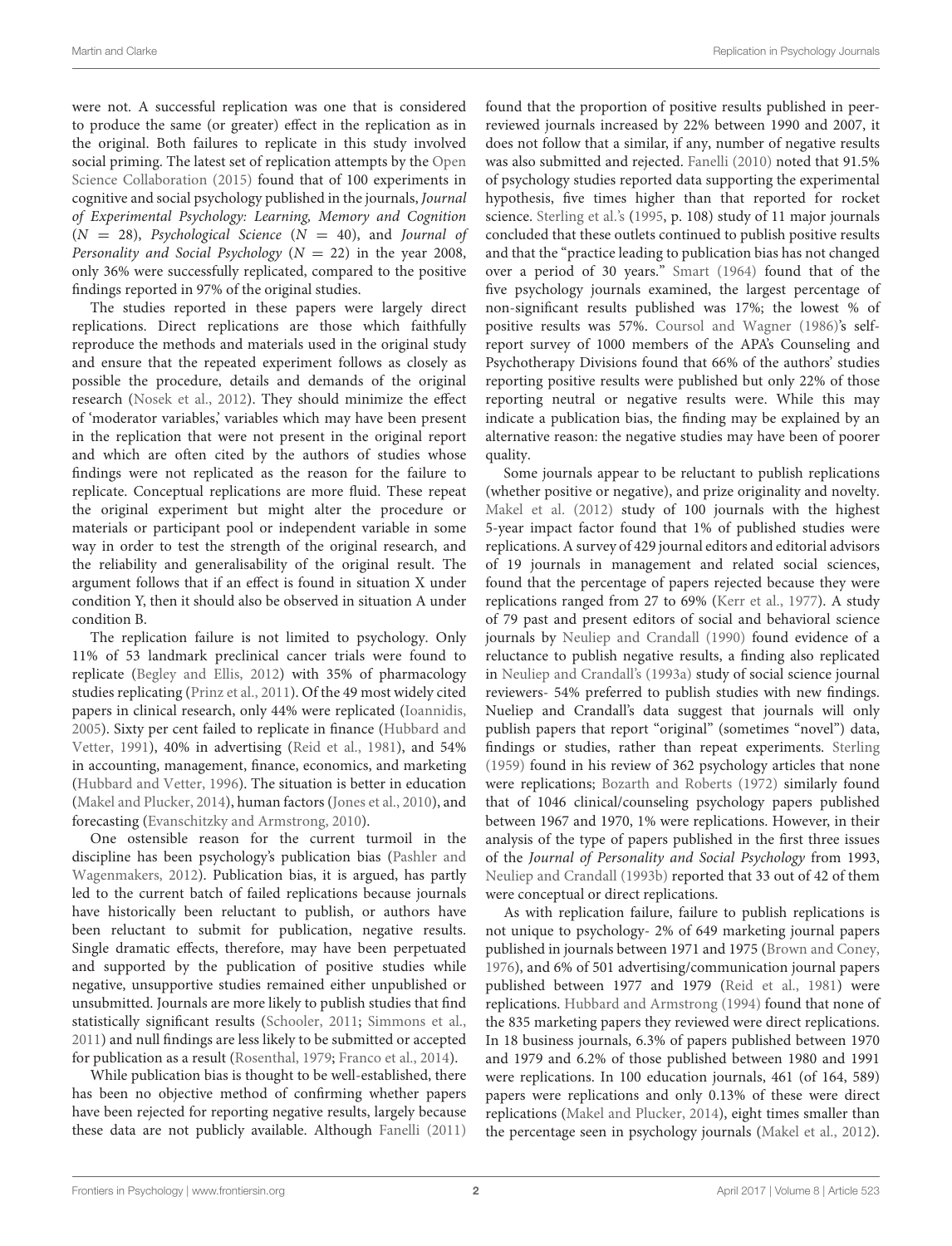were not. A successful replication was one that is considered to produce the same (or greater) effect in the replication as in the original. Both failures to replicate in this study involved social priming. The latest set of replication attempts by the [Open](#page-6-7) [Science Collaboration](#page-6-7) [\(2015\)](#page-6-7) found that of 100 experiments in cognitive and social psychology published in the journals, Journal of Experimental Psychology: Learning, Memory and Cognition  $(N = 28)$ , Psychological Science  $(N = 40)$ , and Journal of Personality and Social Psychology ( $N = 22$ ) in the year 2008, only 36% were successfully replicated, compared to the positive findings reported in 97% of the original studies.

The studies reported in these papers were largely direct replications. Direct replications are those which faithfully reproduce the methods and materials used in the original study and ensure that the repeated experiment follows as closely as possible the procedure, details and demands of the original research [\(Nosek et al.,](#page-6-8) [2012\)](#page-6-8). They should minimize the effect of 'moderator variables,' variables which may have been present in the replication that were not present in the original report and which are often cited by the authors of studies whose findings were not replicated as the reason for the failure to replicate. Conceptual replications are more fluid. These repeat the original experiment but might alter the procedure or materials or participant pool or independent variable in some way in order to test the strength of the original research, and the reliability and generalisability of the original result. The argument follows that if an effect is found in situation X under condition Y, then it should also be observed in situation A under condition B.

The replication failure is not limited to psychology. Only 11% of 53 landmark preclinical cancer trials were found to replicate [\(Begley and Ellis,](#page-6-9) [2012\)](#page-6-9) with 35% of pharmacology studies replicating [\(Prinz et al.,](#page-6-10) [2011\)](#page-6-10). Of the 49 most widely cited papers in clinical research, only 44% were replicated [\(Ioannidis,](#page-6-11) [2005\)](#page-6-11). Sixty per cent failed to replicate in finance [\(Hubbard and](#page-6-12) [Vetter,](#page-6-12) [1991\)](#page-6-12), 40% in advertising [\(Reid et al.,](#page-6-13) [1981\)](#page-6-13), and 54% in accounting, management, finance, economics, and marketing [\(Hubbard and Vetter,](#page-6-14) [1996\)](#page-6-14). The situation is better in education [\(Makel and Plucker,](#page-6-15) [2014\)](#page-6-15), human factors [\(Jones et al.,](#page-6-16) [2010\)](#page-6-16), and forecasting [\(Evanschitzky and Armstrong,](#page-6-17) [2010\)](#page-6-17).

One ostensible reason for the current turmoil in the discipline has been psychology's publication bias [\(Pashler and](#page-6-1) [Wagenmakers,](#page-6-1) [2012\)](#page-6-1). Publication bias, it is argued, has partly led to the current batch of failed replications because journals have historically been reluctant to publish, or authors have been reluctant to submit for publication, negative results. Single dramatic effects, therefore, may have been perpetuated and supported by the publication of positive studies while negative, unsupportive studies remained either unpublished or unsubmitted. Journals are more likely to publish studies that find statistically significant results [\(Schooler,](#page-6-18) [2011;](#page-6-18) [Simmons et al.,](#page-7-1) [2011\)](#page-7-1) and null findings are less likely to be submitted or accepted for publication as a result [\(Rosenthal,](#page-6-19) [1979;](#page-6-19) [Franco et al.,](#page-6-20) [2014\)](#page-6-20).

While publication bias is thought to be well-established, there has been no objective method of confirming whether papers have been rejected for reporting negative results, largely because these data are not publicly available. Although [Fanelli](#page-6-21) [\(2011\)](#page-6-21)

found that the proportion of positive results published in peerreviewed journals increased by 22% between 1990 and 2007, it does not follow that a similar, if any, number of negative results was also submitted and rejected. [Fanelli](#page-6-22) [\(2010\)](#page-6-22) noted that 91.5% of psychology studies reported data supporting the experimental hypothesis, five times higher than that reported for rocket science. [Sterling et al.'](#page-7-2)s [\(1995,](#page-7-2) p. 108) study of 11 major journals concluded that these outlets continued to publish positive results and that the "practice leading to publication bias has not changed over a period of 30 years." [Smart](#page-7-3) [\(1964\)](#page-7-3) found that of the five psychology journals examined, the largest percentage of non-significant results published was 17%; the lowest % of positive results was 57%. [Coursol and Wagner](#page-6-23) [\(1986\)](#page-6-23)'s selfreport survey of 1000 members of the APA's Counseling and Psychotherapy Divisions found that 66% of the authors' studies reporting positive results were published but only 22% of those reporting neutral or negative results were. While this may indicate a publication bias, the finding may be explained by an alternative reason: the negative studies may have been of poorer quality.

Some journals appear to be reluctant to publish replications (whether positive or negative), and prize originality and novelty. [Makel et al.](#page-6-24) [\(2012\)](#page-6-24) study of 100 journals with the highest 5-year impact factor found that 1% of published studies were replications. A survey of 429 journal editors and editorial advisors of 19 journals in management and related social sciences, found that the percentage of papers rejected because they were replications ranged from 27 to 69% [\(Kerr et al.,](#page-6-25) [1977\)](#page-6-25). A study of 79 past and present editors of social and behavioral science journals by [Neuliep and Crandall](#page-6-26) [\(1990\)](#page-6-26) found evidence of a reluctance to publish negative results, a finding also replicated in [Neuliep and Crandall's](#page-6-27) [\(1993a\)](#page-6-27) study of social science journal reviewers- 54% preferred to publish studies with new findings. Nueliep and Crandall's data suggest that journals will only publish papers that report "original" (sometimes "novel") data, findings or studies, rather than repeat experiments. [Sterling](#page-7-4) [\(1959\)](#page-7-4) found in his review of 362 psychology articles that none were replications; [Bozarth and Roberts](#page-6-28) [\(1972\)](#page-6-28) similarly found that of 1046 clinical/counseling psychology papers published between 1967 and 1970, 1% were replications. However, in their analysis of the type of papers published in the first three issues of the Journal of Personality and Social Psychology from 1993, [Neuliep and Crandall](#page-6-29) [\(1993b\)](#page-6-29) reported that 33 out of 42 of them were conceptual or direct replications.

As with replication failure, failure to publish replications is not unique to psychology- 2% of 649 marketing journal papers published in journals between 1971 and 1975 [\(Brown and Coney,](#page-6-30) [1976\)](#page-6-30), and 6% of 501 advertising/communication journal papers published between 1977 and 1979 [\(Reid et al.,](#page-6-13) [1981\)](#page-6-13) were replications. [Hubbard and Armstrong](#page-6-31) [\(1994\)](#page-6-31) found that none of the 835 marketing papers they reviewed were direct replications. In 18 business journals, 6.3% of papers published between 1970 and 1979 and 6.2% of those published between 1980 and 1991 were replications. In 100 education journals, 461 (of 164, 589) papers were replications and only 0.13% of these were direct replications [\(Makel and Plucker,](#page-6-15) [2014\)](#page-6-15), eight times smaller than the percentage seen in psychology journals [\(Makel et al.,](#page-6-24) [2012\)](#page-6-24).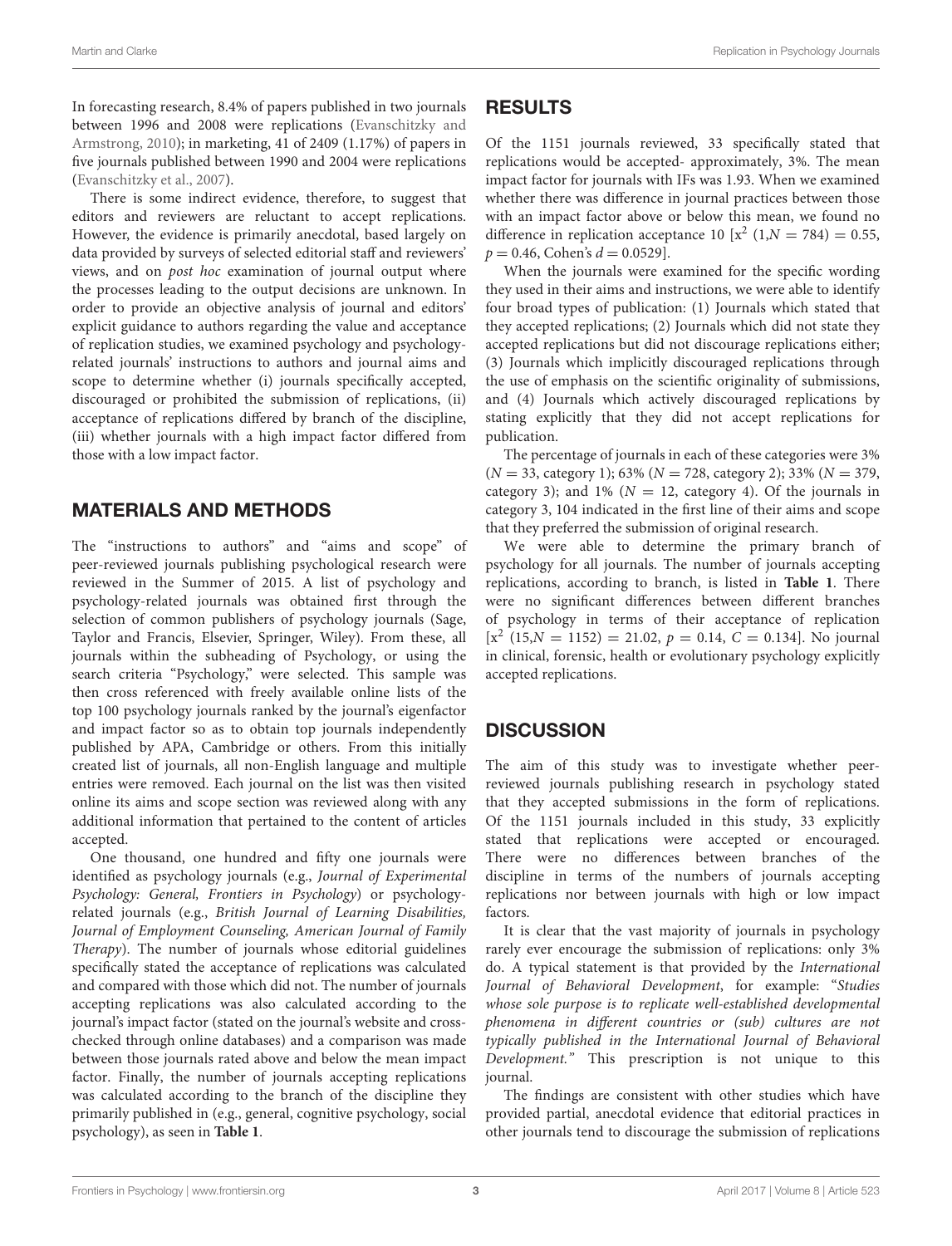In forecasting research, 8.4% of papers published in two journals between 1996 and 2008 were replications [\(Evanschitzky and](#page-6-17) [Armstrong,](#page-6-17) [2010\)](#page-6-17); in marketing, 41 of 2409 (1.17%) of papers in five journals published between 1990 and 2004 were replications [\(Evanschitzky et al.,](#page-6-32) [2007\)](#page-6-32).

There is some indirect evidence, therefore, to suggest that editors and reviewers are reluctant to accept replications. However, the evidence is primarily anecdotal, based largely on data provided by surveys of selected editorial staff and reviewers' views, and on post hoc examination of journal output where the processes leading to the output decisions are unknown. In order to provide an objective analysis of journal and editors' explicit guidance to authors regarding the value and acceptance of replication studies, we examined psychology and psychologyrelated journals' instructions to authors and journal aims and scope to determine whether (i) journals specifically accepted, discouraged or prohibited the submission of replications, (ii) acceptance of replications differed by branch of the discipline, (iii) whether journals with a high impact factor differed from those with a low impact factor.

## MATERIALS AND METHODS

The "instructions to authors" and "aims and scope" of peer-reviewed journals publishing psychological research were reviewed in the Summer of 2015. A list of psychology and psychology-related journals was obtained first through the selection of common publishers of psychology journals (Sage, Taylor and Francis, Elsevier, Springer, Wiley). From these, all journals within the subheading of Psychology, or using the search criteria "Psychology," were selected. This sample was then cross referenced with freely available online lists of the top 100 psychology journals ranked by the journal's eigenfactor and impact factor so as to obtain top journals independently published by APA, Cambridge or others. From this initially created list of journals, all non-English language and multiple entries were removed. Each journal on the list was then visited online its aims and scope section was reviewed along with any additional information that pertained to the content of articles accepted.

One thousand, one hundred and fifty one journals were identified as psychology journals (e.g., Journal of Experimental Psychology: General, Frontiers in Psychology) or psychologyrelated journals (e.g., British Journal of Learning Disabilities, Journal of Employment Counseling, American Journal of Family Therapy). The number of journals whose editorial guidelines specifically stated the acceptance of replications was calculated and compared with those which did not. The number of journals accepting replications was also calculated according to the journal's impact factor (stated on the journal's website and crosschecked through online databases) and a comparison was made between those journals rated above and below the mean impact factor. Finally, the number of journals accepting replications was calculated according to the branch of the discipline they primarily published in (e.g., general, cognitive psychology, social psychology), as seen in **[Table 1](#page-5-0)**.

## RESULTS

Of the 1151 journals reviewed, 33 specifically stated that replications would be accepted- approximately, 3%. The mean impact factor for journals with IFs was 1.93. When we examined whether there was difference in journal practices between those with an impact factor above or below this mean, we found no difference in replication acceptance 10 [ $x^2$  (1, $N = 784$ ) = 0.55,  $p = 0.46$ , Cohen's  $d = 0.0529$ .

When the journals were examined for the specific wording they used in their aims and instructions, we were able to identify four broad types of publication: (1) Journals which stated that they accepted replications; (2) Journals which did not state they accepted replications but did not discourage replications either; (3) Journals which implicitly discouraged replications through the use of emphasis on the scientific originality of submissions, and (4) Journals which actively discouraged replications by stating explicitly that they did not accept replications for publication.

The percentage of journals in each of these categories were 3%  $(N = 33, \text{ category } 1); 63\% (N = 728, \text{ category } 2); 33\% (N = 379,$ category 3); and 1% ( $N = 12$ , category 4). Of the journals in category 3, 104 indicated in the first line of their aims and scope that they preferred the submission of original research.

We were able to determine the primary branch of psychology for all journals. The number of journals accepting replications, according to branch, is listed in **[Table 1](#page-5-0)**. There were no significant differences between different branches of psychology in terms of their acceptance of replication  $[x^2 (15, N = 1152) = 21.02, p = 0.14, C = 0.134]$ . No journal in clinical, forensic, health or evolutionary psychology explicitly accepted replications.

## **DISCUSSION**

The aim of this study was to investigate whether peerreviewed journals publishing research in psychology stated that they accepted submissions in the form of replications. Of the 1151 journals included in this study, 33 explicitly stated that replications were accepted or encouraged. There were no differences between branches of the discipline in terms of the numbers of journals accepting replications nor between journals with high or low impact factors.

It is clear that the vast majority of journals in psychology rarely ever encourage the submission of replications: only 3% do. A typical statement is that provided by the International Journal of Behavioral Development, for example: "Studies whose sole purpose is to replicate well-established developmental phenomena in different countries or (sub) cultures are not typically published in the International Journal of Behavioral Development." This prescription is not unique to this journal.

The findings are consistent with other studies which have provided partial, anecdotal evidence that editorial practices in other journals tend to discourage the submission of replications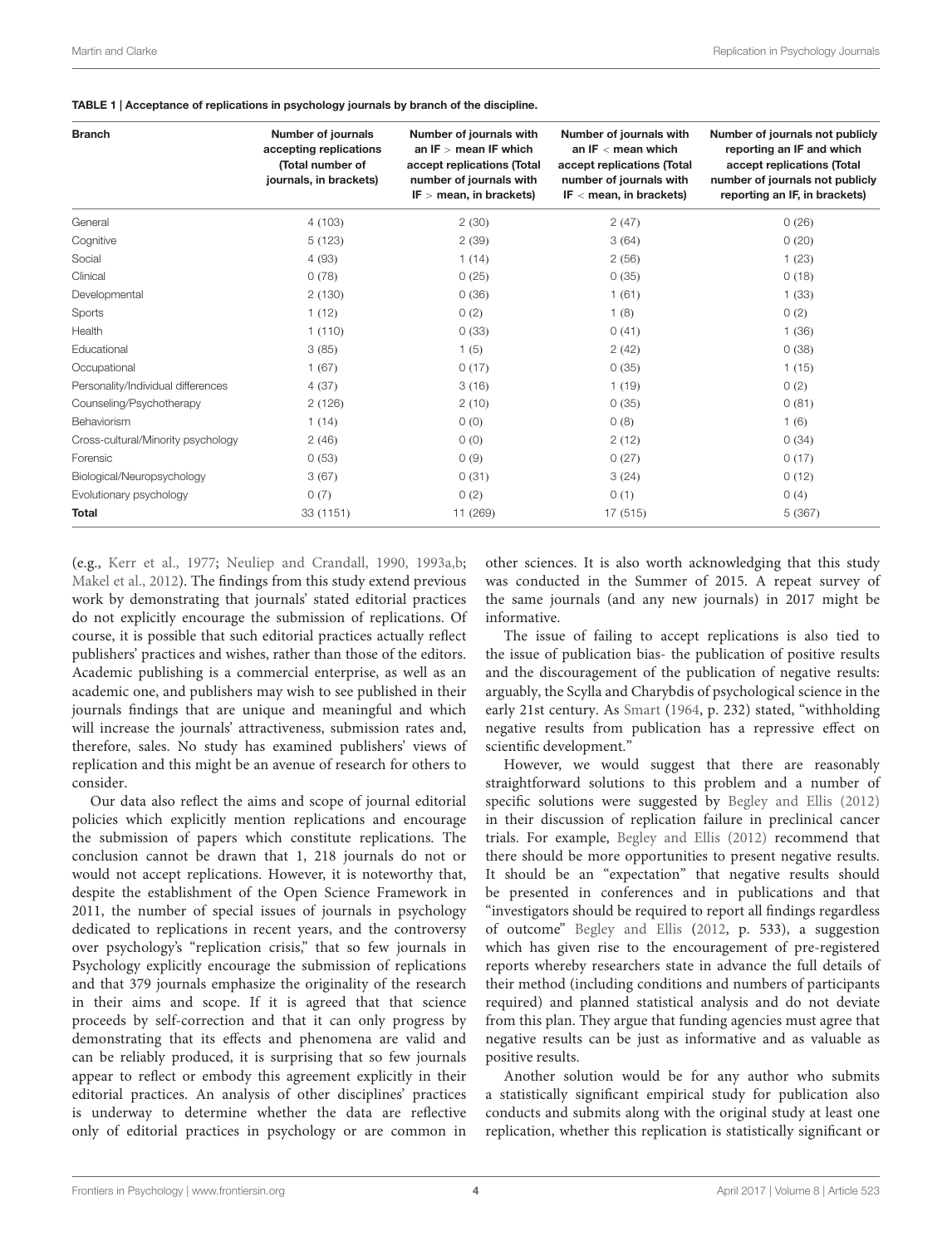<span id="page-5-0"></span>

| <b>Branch</b>                      | <b>Number of journals</b><br>accepting replications<br>(Total number of<br>journals, in brackets) | Number of journals with<br>an $IF > mean IF$ which<br>accept replications (Total<br>number of journals with<br>$IF > mean$ , in brackets) | Number of journals with<br>an $IF <$ mean which<br>accept replications (Total<br>number of journals with<br>IF $\leq$ mean, in brackets) | Number of journals not publicly<br>reporting an IF and which<br>accept replications (Total<br>number of journals not publicly<br>reporting an IF, in brackets) |
|------------------------------------|---------------------------------------------------------------------------------------------------|-------------------------------------------------------------------------------------------------------------------------------------------|------------------------------------------------------------------------------------------------------------------------------------------|----------------------------------------------------------------------------------------------------------------------------------------------------------------|
| General                            | 4(103)                                                                                            | 2(30)                                                                                                                                     | 2(47)                                                                                                                                    | 0(26)                                                                                                                                                          |
| Cognitive                          | 5(123)                                                                                            | 2(39)                                                                                                                                     | 3(64)                                                                                                                                    | 0(20)                                                                                                                                                          |
| Social                             | 4(93)                                                                                             | 1(14)                                                                                                                                     | 2(56)                                                                                                                                    | 1(23)                                                                                                                                                          |
| Clinical                           | 0(78)                                                                                             | 0(25)                                                                                                                                     | 0(35)                                                                                                                                    | 0(18)                                                                                                                                                          |
| Developmental                      | 2(130)                                                                                            | 0(36)                                                                                                                                     | 1(61)                                                                                                                                    | 1(33)                                                                                                                                                          |
| Sports                             | 1(12)                                                                                             | 0(2)                                                                                                                                      | 1(8)                                                                                                                                     | 0(2)                                                                                                                                                           |
| Health                             | 1(110)                                                                                            | 0(33)                                                                                                                                     | 0(41)                                                                                                                                    | 1(36)                                                                                                                                                          |
| Educational                        | 3(85)                                                                                             | 1(5)                                                                                                                                      | 2(42)                                                                                                                                    | 0(38)                                                                                                                                                          |
| Occupational                       | 1(67)                                                                                             | 0(17)                                                                                                                                     | 0(35)                                                                                                                                    | 1(15)                                                                                                                                                          |
| Personality/Individual differences | 4(37)                                                                                             | 3(16)                                                                                                                                     | 1(19)                                                                                                                                    | 0(2)                                                                                                                                                           |
| Counseling/Psychotherapy           | 2(126)                                                                                            | 2(10)                                                                                                                                     | 0(35)                                                                                                                                    | 0(81)                                                                                                                                                          |
| Behaviorism                        | 1(14)                                                                                             | 0(0)                                                                                                                                      | 0(8)                                                                                                                                     | 1(6)                                                                                                                                                           |
| Cross-cultural/Minority psychology | 2(46)                                                                                             | 0(0)                                                                                                                                      | 2(12)                                                                                                                                    | 0(34)                                                                                                                                                          |
| Forensic                           | 0(53)                                                                                             | 0(9)                                                                                                                                      | 0(27)                                                                                                                                    | 0(17)                                                                                                                                                          |
| Biological/Neuropsychology         | 3(67)                                                                                             | 0(31)                                                                                                                                     | 3(24)                                                                                                                                    | 0(12)                                                                                                                                                          |
| Evolutionary psychology            | 0(7)                                                                                              | 0(2)                                                                                                                                      | 0(1)                                                                                                                                     | 0(4)                                                                                                                                                           |
| <b>Total</b>                       | 33 (1151)                                                                                         | 11 (269)                                                                                                                                  | 17 (515)                                                                                                                                 | 5(367)                                                                                                                                                         |

(e.g., [Kerr et al.,](#page-6-25) [1977;](#page-6-25) [Neuliep and Crandall,](#page-6-26) [1990,](#page-6-26) [1993a,](#page-6-27)[b;](#page-6-29) [Makel et al.,](#page-6-24) [2012\)](#page-6-24). The findings from this study extend previous work by demonstrating that journals' stated editorial practices do not explicitly encourage the submission of replications. Of course, it is possible that such editorial practices actually reflect publishers' practices and wishes, rather than those of the editors. Academic publishing is a commercial enterprise, as well as an academic one, and publishers may wish to see published in their journals findings that are unique and meaningful and which will increase the journals' attractiveness, submission rates and, therefore, sales. No study has examined publishers' views of replication and this might be an avenue of research for others to consider.

Our data also reflect the aims and scope of journal editorial policies which explicitly mention replications and encourage the submission of papers which constitute replications. The conclusion cannot be drawn that 1, 218 journals do not or would not accept replications. However, it is noteworthy that, despite the establishment of the Open Science Framework in 2011, the number of special issues of journals in psychology dedicated to replications in recent years, and the controversy over psychology's "replication crisis," that so few journals in Psychology explicitly encourage the submission of replications and that 379 journals emphasize the originality of the research in their aims and scope. If it is agreed that that science proceeds by self-correction and that it can only progress by demonstrating that its effects and phenomena are valid and can be reliably produced, it is surprising that so few journals appear to reflect or embody this agreement explicitly in their editorial practices. An analysis of other disciplines' practices is underway to determine whether the data are reflective only of editorial practices in psychology or are common in

other sciences. It is also worth acknowledging that this study was conducted in the Summer of 2015. A repeat survey of the same journals (and any new journals) in 2017 might be informative.

The issue of failing to accept replications is also tied to the issue of publication bias- the publication of positive results and the discouragement of the publication of negative results: arguably, the Scylla and Charybdis of psychological science in the early 21st century. As [Smart](#page-7-3) [\(1964,](#page-7-3) p. 232) stated, "withholding negative results from publication has a repressive effect on scientific development."

However, we would suggest that there are reasonably straightforward solutions to this problem and a number of specific solutions were suggested by [Begley and Ellis](#page-6-9) [\(2012\)](#page-6-9) in their discussion of replication failure in preclinical cancer trials. For example, [Begley and Ellis](#page-6-9) [\(2012\)](#page-6-9) recommend that there should be more opportunities to present negative results. It should be an "expectation" that negative results should be presented in conferences and in publications and that "investigators should be required to report all findings regardless of outcome" [Begley and Ellis](#page-6-9) [\(2012,](#page-6-9) p. 533), a suggestion which has given rise to the encouragement of pre-registered reports whereby researchers state in advance the full details of their method (including conditions and numbers of participants required) and planned statistical analysis and do not deviate from this plan. They argue that funding agencies must agree that negative results can be just as informative and as valuable as positive results.

Another solution would be for any author who submits a statistically significant empirical study for publication also conducts and submits along with the original study at least one replication, whether this replication is statistically significant or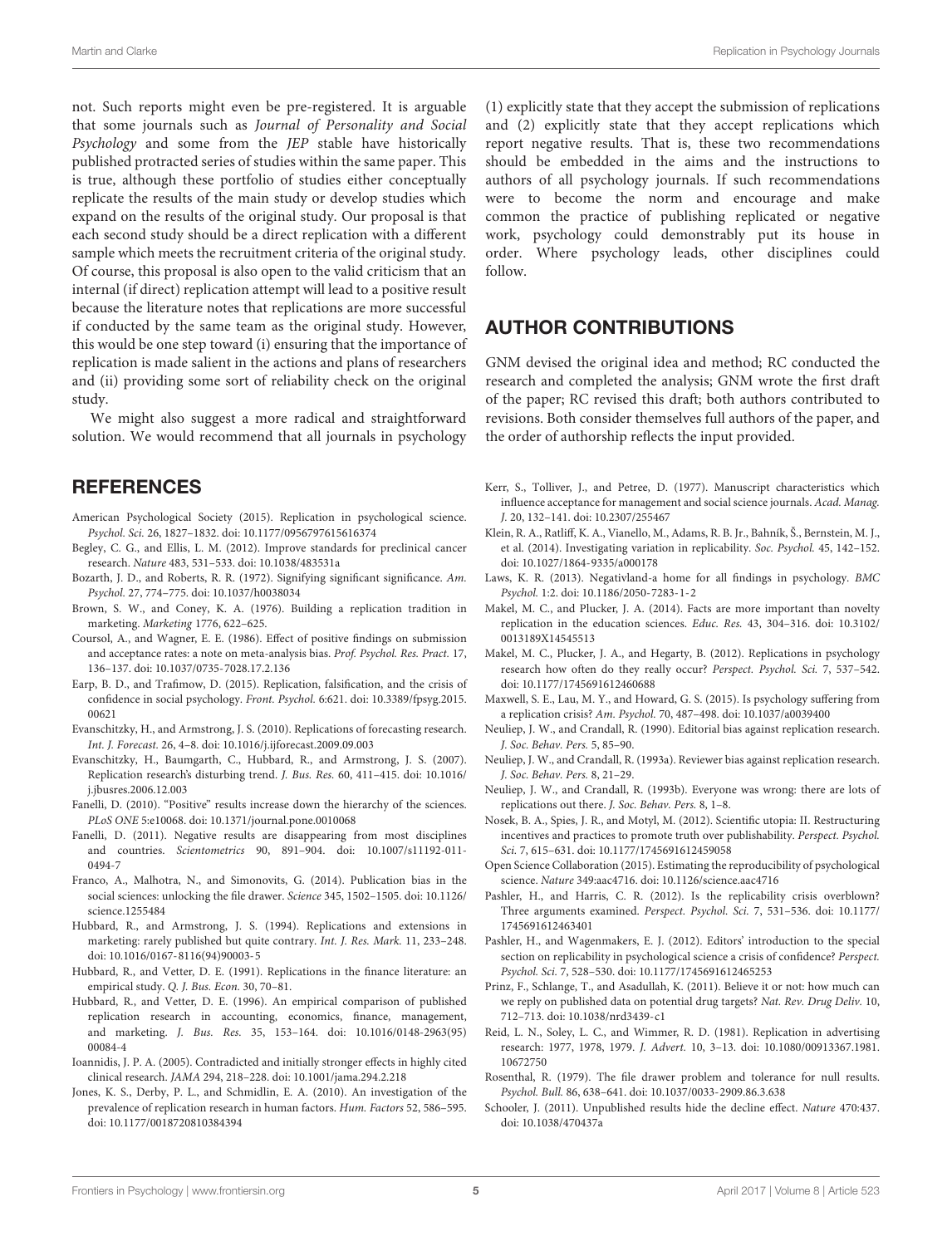not. Such reports might even be pre-registered. It is arguable that some journals such as Journal of Personality and Social Psychology and some from the JEP stable have historically published protracted series of studies within the same paper. This is true, although these portfolio of studies either conceptually replicate the results of the main study or develop studies which expand on the results of the original study. Our proposal is that each second study should be a direct replication with a different sample which meets the recruitment criteria of the original study. Of course, this proposal is also open to the valid criticism that an internal (if direct) replication attempt will lead to a positive result because the literature notes that replications are more successful if conducted by the same team as the original study. However, this would be one step toward (i) ensuring that the importance of replication is made salient in the actions and plans of researchers and (ii) providing some sort of reliability check on the original study.

We might also suggest a more radical and straightforward solution. We would recommend that all journals in psychology

### **REFERENCES**

- <span id="page-6-3"></span>American Psychological Society (2015). Replication in psychological science. Psychol. Sci. 26, 1827–1832. [doi: 10.1177/0956797615616374](https://doi.org/10.1177/0956797615616374)
- <span id="page-6-9"></span>Begley, C. G., and Ellis, L. M. (2012). Improve standards for preclinical cancer research. Nature 483, 531–533. [doi: 10.1038/483531a](https://doi.org/10.1038/483531a)
- <span id="page-6-28"></span>Bozarth, J. D., and Roberts, R. R. (1972). Signifying significant significance. Am. Psychol. 27, 774–775. [doi: 10.1037/h0038034](https://doi.org/10.1037/h0038034)
- <span id="page-6-30"></span>Brown, S. W., and Coney, K. A. (1976). Building a replication tradition in marketing. Marketing 1776, 622–625.
- <span id="page-6-23"></span>Coursol, A., and Wagner, E. E. (1986). Effect of positive findings on submission and acceptance rates: a note on meta-analysis bias. Prof. Psychol. Res. Pract. 17, 136–137. [doi: 10.1037/0735-7028.17.2.136](https://doi.org/10.1037/0735-7028.17.2.136)
- <span id="page-6-4"></span>Earp, B. D., and Trafimow, D. (2015). Replication, falsification, and the crisis of confidence in social psychology. Front. Psychol. 6:621. [doi: 10.3389/fpsyg.2015.](https://doi.org/10.3389/fpsyg.2015.00621) [00621](https://doi.org/10.3389/fpsyg.2015.00621)
- <span id="page-6-17"></span>Evanschitzky, H., and Armstrong, J. S. (2010). Replications of forecasting research. Int. J. Forecast. 26, 4–8. [doi: 10.1016/j.ijforecast.2009.09.003](https://doi.org/10.1016/j.ijforecast.2009.09.003)
- <span id="page-6-32"></span>Evanschitzky, H., Baumgarth, C., Hubbard, R., and Armstrong, J. S. (2007). Replication research's disturbing trend. J. Bus. Res. 60, 411–415. [doi: 10.1016/](https://doi.org/10.1016/j.jbusres.2006.12.003) [j.jbusres.2006.12.003](https://doi.org/10.1016/j.jbusres.2006.12.003)
- <span id="page-6-22"></span>Fanelli, D. (2010). "Positive" results increase down the hierarchy of the sciences. PLoS ONE 5:e10068. [doi: 10.1371/journal.pone.0010068](https://doi.org/10.1371/journal.pone.0010068)
- <span id="page-6-21"></span>Fanelli, D. (2011). Negative results are disappearing from most disciplines and countries. Scientometrics 90, 891–904. [doi: 10.1007/s11192-011-](https://doi.org/10.1007/s11192-011-0494-7) [0494-7](https://doi.org/10.1007/s11192-011-0494-7)
- <span id="page-6-20"></span>Franco, A., Malhotra, N., and Simonovits, G. (2014). Publication bias in the social sciences: unlocking the file drawer. Science 345, 1502–1505. [doi: 10.1126/](https://doi.org/10.1126/science.1255484) [science.1255484](https://doi.org/10.1126/science.1255484)
- <span id="page-6-31"></span>Hubbard, R., and Armstrong, J. S. (1994). Replications and extensions in marketing: rarely published but quite contrary. Int. J. Res. Mark. 11, 233–248. [doi: 10.1016/0167-8116\(94\)90003-5](https://doi.org/10.1016/0167-8116(94)90003-5)
- <span id="page-6-12"></span>Hubbard, R., and Vetter, D. E. (1991). Replications in the finance literature: an empirical study. Q. J. Bus. Econ. 30, 70–81.
- <span id="page-6-14"></span>Hubbard, R., and Vetter, D. E. (1996). An empirical comparison of published replication research in accounting, economics, finance, management, and marketing. J. Bus. Res. 35, 153–164. [doi: 10.1016/0148-2963\(95\)](https://doi.org/10.1016/0148-2963(95)00084-4) [00084-4](https://doi.org/10.1016/0148-2963(95)00084-4)
- <span id="page-6-11"></span>Ioannidis, J. P. A. (2005). Contradicted and initially stronger effects in highly cited clinical research. JAMA 294, 218–228. [doi: 10.1001/jama.294.2.218](https://doi.org/10.1001/jama.294.2.218)
- <span id="page-6-16"></span>Jones, K. S., Derby, P. L., and Schmidlin, E. A. (2010). An investigation of the prevalence of replication research in human factors. Hum. Factors 52, 586–595. [doi: 10.1177/0018720810384394](https://doi.org/10.1177/0018720810384394)

(1) explicitly state that they accept the submission of replications and (2) explicitly state that they accept replications which report negative results. That is, these two recommendations should be embedded in the aims and the instructions to authors of all psychology journals. If such recommendations were to become the norm and encourage and make common the practice of publishing replicated or negative work, psychology could demonstrably put its house in order. Where psychology leads, other disciplines could follow.

## AUTHOR CONTRIBUTIONS

GNM devised the original idea and method; RC conducted the research and completed the analysis; GNM wrote the first draft of the paper; RC revised this draft; both authors contributed to revisions. Both consider themselves full authors of the paper, and the order of authorship reflects the input provided.

- <span id="page-6-25"></span>Kerr, S., Tolliver, J., and Petree, D. (1977). Manuscript characteristics which influence acceptance for management and social science journals. Acad. Manag. J. 20, 132–141. [doi: 10.2307/255467](https://doi.org/10.2307/255467)
- <span id="page-6-6"></span>Klein, R. A., Ratliff, K. A., Vianello, M., Adams, R. B. Jr., Bahník, Š., Bernstein, M. J., et al. (2014). Investigating variation in replicability. Soc. Psychol. 45, 142–152. [doi: 10.1027/1864-9335/a000178](https://doi.org/10.1027/1864-9335/a000178)
- <span id="page-6-2"></span>Laws, K. R. (2013). Negativland-a home for all findings in psychology. BMC Psychol. 1:2. [doi: 10.1186/2050-7283-1-2](https://doi.org/10.1186/2050-7283-1-2)
- <span id="page-6-15"></span>Makel, M. C., and Plucker, J. A. (2014). Facts are more important than novelty replication in the education sciences. Educ. Res. 43, 304–316. [doi: 10.3102/](https://doi.org/10.3102/0013189X14545513) [0013189X14545513](https://doi.org/10.3102/0013189X14545513)
- <span id="page-6-24"></span>Makel, M. C., Plucker, J. A., and Hegarty, B. (2012). Replications in psychology research how often do they really occur? Perspect. Psychol. Sci. 7, 537–542. [doi: 10.1177/1745691612460688](https://doi.org/10.1177/1745691612460688)
- <span id="page-6-5"></span>Maxwell, S. E., Lau, M. Y., and Howard, G. S. (2015). Is psychology suffering from a replication crisis? Am. Psychol. 70, 487–498. [doi: 10.1037/a0039400](https://doi.org/10.1037/a0039400)
- <span id="page-6-26"></span>Neuliep, J. W., and Crandall, R. (1990). Editorial bias against replication research. J. Soc. Behav. Pers. 5, 85–90.
- <span id="page-6-27"></span>Neuliep, J. W., and Crandall, R. (1993a). Reviewer bias against replication research. J. Soc. Behav. Pers. 8, 21–29.
- <span id="page-6-29"></span>Neuliep, J. W., and Crandall, R. (1993b). Everyone was wrong: there are lots of replications out there. J. Soc. Behav. Pers. 8, 1–8.
- <span id="page-6-8"></span>Nosek, B. A., Spies, J. R., and Motyl, M. (2012). Scientific utopia: II. Restructuring incentives and practices to promote truth over publishability. Perspect. Psychol. Sci. 7, 615–631. [doi: 10.1177/1745691612459058](https://doi.org/10.1177/1745691612459058)
- <span id="page-6-7"></span>Open Science Collaboration (2015). Estimating the reproducibility of psychological science. Nature 349:aac4716. [doi: 10.1126/science.aac4716](https://doi.org/10.1126/science.aac4716)
- <span id="page-6-0"></span>Pashler, H., and Harris, C. R. (2012). Is the replicability crisis overblown? Three arguments examined. Perspect. Psychol. Sci. 7, 531–536. [doi: 10.1177/](https://doi.org/10.1177/1745691612463401) [1745691612463401](https://doi.org/10.1177/1745691612463401)
- <span id="page-6-1"></span>Pashler, H., and Wagenmakers, E. J. (2012). Editors' introduction to the special section on replicability in psychological science a crisis of confidence? Perspect. Psychol. Sci. 7, 528–530. [doi: 10.1177/1745691612465253](https://doi.org/10.1177/1745691612465253)
- <span id="page-6-10"></span>Prinz, F., Schlange, T., and Asadullah, K. (2011). Believe it or not: how much can we reply on published data on potential drug targets? Nat. Rev. Drug Deliv. 10, 712–713. [doi: 10.1038/nrd3439-c1](https://doi.org/10.1038/nrd3439-c1)
- <span id="page-6-13"></span>Reid, L. N., Soley, L. C., and Wimmer, R. D. (1981). Replication in advertising research: 1977, 1978, 1979. J. Advert. 10, 3–13. [doi: 10.1080/00913367.1981.](https://doi.org/10.1080/00913367.1981.10672750) [10672750](https://doi.org/10.1080/00913367.1981.10672750)
- <span id="page-6-19"></span>Rosenthal, R. (1979). The file drawer problem and tolerance for null results. Psychol. Bull. 86, 638–641. [doi: 10.1037/0033-2909.86.3.638](https://doi.org/10.1037/0033-2909.86.3.638)
- <span id="page-6-18"></span>Schooler, J. (2011). Unpublished results hide the decline effect. Nature 470:437. [doi: 10.1038/470437a](https://doi.org/10.1038/470437a)